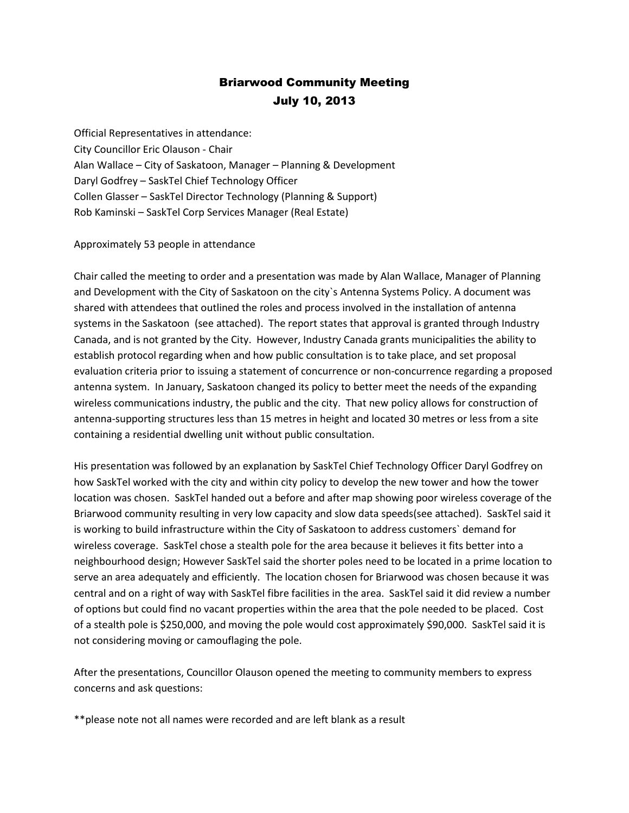## Briarwood Community Meeting July 10, 2013

Official Representatives in attendance: City Councillor Eric Olauson - Chair Alan Wallace – City of Saskatoon, Manager – Planning & Development Daryl Godfrey – SaskTel Chief Technology Officer Collen Glasser – SaskTel Director Technology (Planning & Support) Rob Kaminski – SaskTel Corp Services Manager (Real Estate)

## Approximately 53 people in attendance

Chair called the meeting to order and a presentation was made by Alan Wallace, Manager of Planning and Development with the City of Saskatoon on the city`s Antenna Systems Policy. A document was shared with attendees that outlined the roles and process involved in the installation of antenna systems in the Saskatoon (see attached). The report states that approval is granted through Industry Canada, and is not granted by the City. However, Industry Canada grants municipalities the ability to establish protocol regarding when and how public consultation is to take place, and set proposal evaluation criteria prior to issuing a statement of concurrence or non-concurrence regarding a proposed antenna system. In January, Saskatoon changed its policy to better meet the needs of the expanding wireless communications industry, the public and the city. That new policy allows for construction of antenna-supporting structures less than 15 metres in height and located 30 metres or less from a site containing a residential dwelling unit without public consultation.

His presentation was followed by an explanation by SaskTel Chief Technology Officer Daryl Godfrey on how SaskTel worked with the city and within city policy to develop the new tower and how the tower location was chosen. SaskTel handed out a before and after map showing poor wireless coverage of the Briarwood community resulting in very low capacity and slow data speeds(see attached). SaskTel said it is working to build infrastructure within the City of Saskatoon to address customers` demand for wireless coverage. SaskTel chose a stealth pole for the area because it believes it fits better into a neighbourhood design; However SaskTel said the shorter poles need to be located in a prime location to serve an area adequately and efficiently. The location chosen for Briarwood was chosen because it was central and on a right of way with SaskTel fibre facilities in the area. SaskTel said it did review a number of options but could find no vacant properties within the area that the pole needed to be placed. Cost of a stealth pole is \$250,000, and moving the pole would cost approximately \$90,000. SaskTel said it is not considering moving or camouflaging the pole.

After the presentations, Councillor Olauson opened the meeting to community members to express concerns and ask questions:

\*\*please note not all names were recorded and are left blank as a result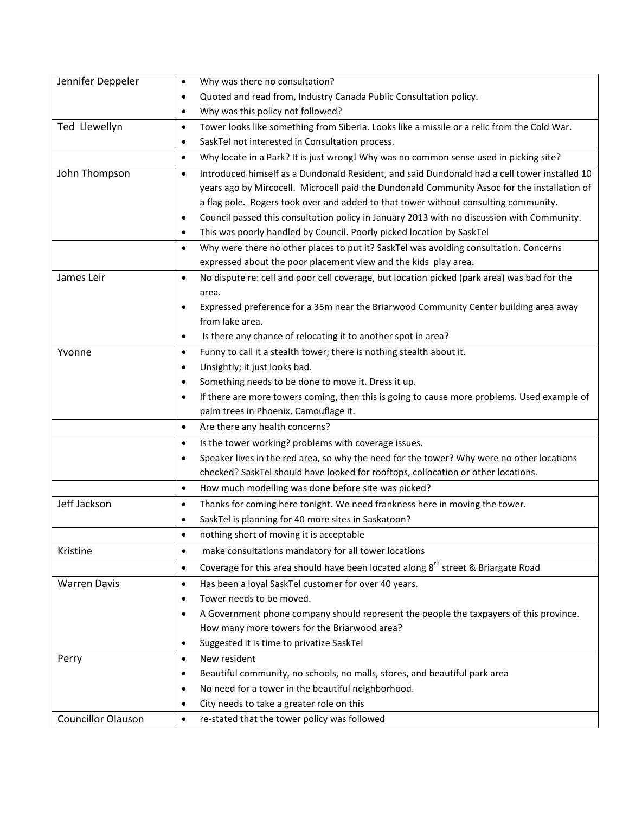| Jennifer Deppeler         | Why was there no consultation?<br>$\bullet$                                                                |
|---------------------------|------------------------------------------------------------------------------------------------------------|
|                           | Quoted and read from, Industry Canada Public Consultation policy.                                          |
|                           | Why was this policy not followed?<br>$\bullet$                                                             |
| Ted Llewellyn             | Tower looks like something from Siberia. Looks like a missile or a relic from the Cold War.<br>$\bullet$   |
|                           | SaskTel not interested in Consultation process.<br>٠                                                       |
|                           | Why locate in a Park? It is just wrong! Why was no common sense used in picking site?<br>$\bullet$         |
| John Thompson             | Introduced himself as a Dundonald Resident, and said Dundonald had a cell tower installed 10<br>٠          |
|                           | years ago by Mircocell. Microcell paid the Dundonald Community Assoc for the installation of               |
|                           | a flag pole. Rogers took over and added to that tower without consulting community.                        |
|                           | Council passed this consultation policy in January 2013 with no discussion with Community.<br>٠            |
|                           | This was poorly handled by Council. Poorly picked location by SaskTel<br>٠                                 |
|                           | Why were there no other places to put it? SaskTel was avoiding consultation. Concerns<br>$\bullet$         |
|                           | expressed about the poor placement view and the kids play area.                                            |
| James Leir                | No dispute re: cell and poor cell coverage, but location picked (park area) was bad for the<br>$\bullet$   |
|                           | area.                                                                                                      |
|                           | Expressed preference for a 35m near the Briarwood Community Center building area away<br>$\bullet$         |
|                           | from lake area.                                                                                            |
|                           | Is there any chance of relocating it to another spot in area?<br>$\bullet$                                 |
| Yvonne                    | Funny to call it a stealth tower; there is nothing stealth about it.<br>$\bullet$                          |
|                           | Unsightly; it just looks bad.<br>٠                                                                         |
|                           | Something needs to be done to move it. Dress it up.<br>$\bullet$                                           |
|                           | If there are more towers coming, then this is going to cause more problems. Used example of<br>٠           |
|                           | palm trees in Phoenix. Camouflage it.                                                                      |
|                           | Are there any health concerns?<br>$\bullet$                                                                |
|                           | Is the tower working? problems with coverage issues.<br>$\bullet$                                          |
|                           | Speaker lives in the red area, so why the need for the tower? Why were no other locations<br>٠             |
|                           | checked? SaskTel should have looked for rooftops, collocation or other locations.                          |
|                           | How much modelling was done before site was picked?<br>٠                                                   |
| Jeff Jackson              | Thanks for coming here tonight. We need frankness here in moving the tower.<br>$\bullet$                   |
|                           | SaskTel is planning for 40 more sites in Saskatoon?<br>$\bullet$                                           |
|                           | nothing short of moving it is acceptable                                                                   |
| Kristine                  | make consultations mandatory for all tower locations<br>٠                                                  |
|                           | Coverage for this area should have been located along 8 <sup>th</sup> street & Briargate Road<br>$\bullet$ |
| <b>Warren Davis</b>       | Has been a loyal SaskTel customer for over 40 years.<br>٠                                                  |
|                           | Tower needs to be moved.<br>٠                                                                              |
|                           | A Government phone company should represent the people the taxpayers of this province.<br>٠                |
|                           | How many more towers for the Briarwood area?                                                               |
|                           | Suggested it is time to privatize SaskTel<br>٠                                                             |
| Perry                     | New resident<br>$\bullet$                                                                                  |
|                           | Beautiful community, no schools, no malls, stores, and beautiful park area<br>٠                            |
|                           | No need for a tower in the beautiful neighborhood.<br>٠                                                    |
|                           | City needs to take a greater role on this<br>٠                                                             |
| <b>Councillor Olauson</b> | re-stated that the tower policy was followed<br>$\bullet$                                                  |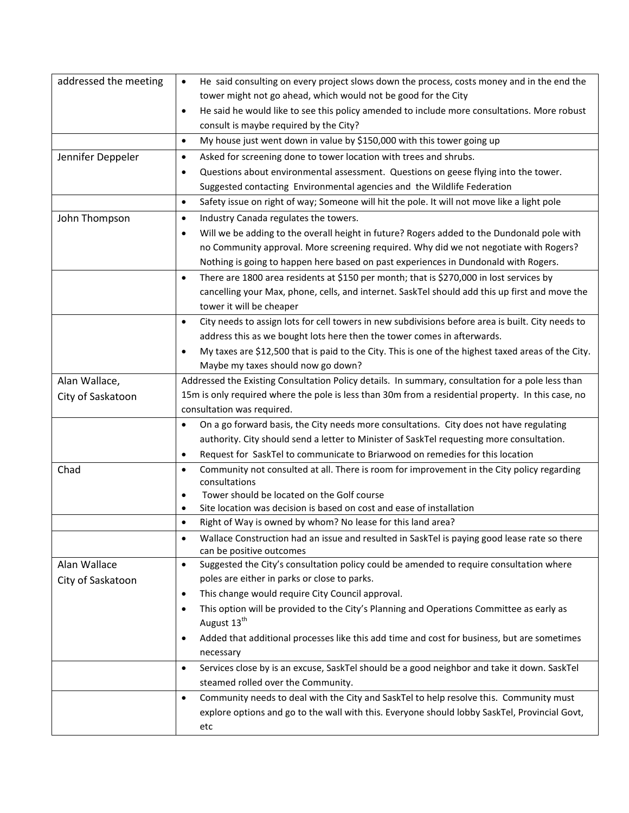| addressed the meeting | He said consulting on every project slows down the process, costs money and in the end the<br>$\bullet$                 |
|-----------------------|-------------------------------------------------------------------------------------------------------------------------|
|                       | tower might not go ahead, which would not be good for the City                                                          |
|                       | He said he would like to see this policy amended to include more consultations. More robust<br>$\bullet$                |
|                       | consult is maybe required by the City?                                                                                  |
|                       | My house just went down in value by \$150,000 with this tower going up<br>$\bullet$                                     |
| Jennifer Deppeler     | Asked for screening done to tower location with trees and shrubs.<br>$\bullet$                                          |
|                       | Questions about environmental assessment. Questions on geese flying into the tower.<br>٠                                |
|                       | Suggested contacting Environmental agencies and the Wildlife Federation                                                 |
|                       | Safety issue on right of way; Someone will hit the pole. It will not move like a light pole<br>$\bullet$                |
| John Thompson         | Industry Canada regulates the towers.<br>$\bullet$                                                                      |
|                       | Will we be adding to the overall height in future? Rogers added to the Dundonald pole with<br>$\bullet$                 |
|                       | no Community approval. More screening required. Why did we not negotiate with Rogers?                                   |
|                       | Nothing is going to happen here based on past experiences in Dundonald with Rogers.                                     |
|                       | There are 1800 area residents at \$150 per month; that is \$270,000 in lost services by<br>$\bullet$                    |
|                       | cancelling your Max, phone, cells, and internet. SaskTel should add this up first and move the                          |
|                       | tower it will be cheaper                                                                                                |
|                       | City needs to assign lots for cell towers in new subdivisions before area is built. City needs to<br>$\bullet$          |
|                       | address this as we bought lots here then the tower comes in afterwards.                                                 |
|                       | My taxes are \$12,500 that is paid to the City. This is one of the highest taxed areas of the City.<br>$\bullet$        |
|                       | Maybe my taxes should now go down?                                                                                      |
| Alan Wallace,         | Addressed the Existing Consultation Policy details. In summary, consultation for a pole less than                       |
| City of Saskatoon     | 15m is only required where the pole is less than 30m from a residential property. In this case, no                      |
|                       | consultation was required.                                                                                              |
|                       | On a go forward basis, the City needs more consultations. City does not have regulating<br>$\bullet$                    |
|                       | authority. City should send a letter to Minister of SaskTel requesting more consultation.                               |
|                       | Request for SaskTel to communicate to Briarwood on remedies for this location<br>$\bullet$                              |
| Chad                  | Community not consulted at all. There is room for improvement in the City policy regarding<br>$\bullet$                 |
|                       | consultations                                                                                                           |
|                       | Tower should be located on the Golf course<br>٠<br>Site location was decision is based on cost and ease of installation |
|                       | $\bullet$<br>Right of Way is owned by whom? No lease for this land area?<br>$\bullet$                                   |
|                       | Wallace Construction had an issue and resulted in SaskTel is paying good lease rate so there                            |
|                       | can be positive outcomes                                                                                                |
| Alan Wallace          | Suggested the City's consultation policy could be amended to require consultation where<br>$\bullet$                    |
| City of Saskatoon     | poles are either in parks or close to parks.                                                                            |
|                       | This change would require City Council approval.<br>$\bullet$                                                           |
|                       | This option will be provided to the City's Planning and Operations Committee as early as<br>٠                           |
|                       | August 13 <sup>th</sup>                                                                                                 |
|                       | Added that additional processes like this add time and cost for business, but are sometimes                             |
|                       | necessary                                                                                                               |
|                       | Services close by is an excuse, SaskTel should be a good neighbor and take it down. SaskTel<br>$\bullet$                |
|                       | steamed rolled over the Community.                                                                                      |
|                       | Community needs to deal with the City and SaskTel to help resolve this. Community must<br>$\bullet$                     |
|                       | explore options and go to the wall with this. Everyone should lobby SaskTel, Provincial Govt,                           |
|                       | etc                                                                                                                     |